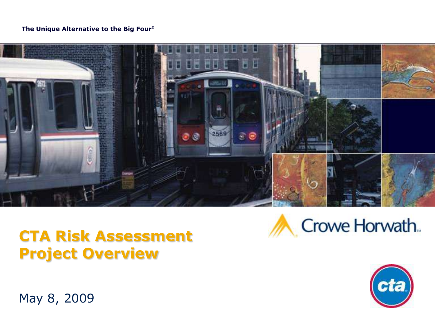#### **The Unique Alternative to the Big Four®**



#### **CTA Risk Assessment Project Overview**





May 8, 2009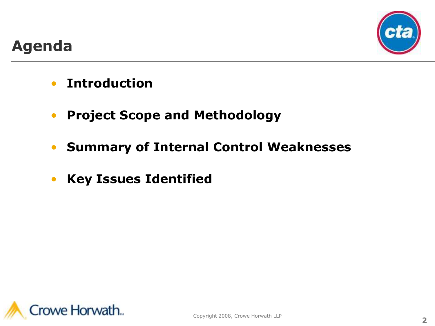

#### **Agenda**

- **Introduction**
- **Project Scope and Methodology**
- **Summary of Internal Control Weaknesses**
- **Key Issues Identified**

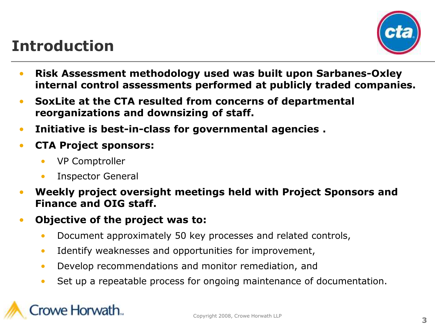### **Introduction**



- **Risk Assessment methodology used was built upon Sarbanes-Oxley internal control assessments performed at publicly traded companies.**
- **SoxLite at the CTA resulted from concerns of departmental reorganizations and downsizing of staff.**
- **Initiative is best-in-class for governmental agencies .**
- **CTA Project sponsors:**
	- VP Comptroller
	- Inspector General
- **Weekly project oversight meetings held with Project Sponsors and Finance and OIG staff.**
- **Objective of the project was to:**
	- Document approximately 50 key processes and related controls,
	- Identify weaknesses and opportunities for improvement,
	- Develop recommendations and monitor remediation, and
	- Set up a repeatable process for ongoing maintenance of documentation.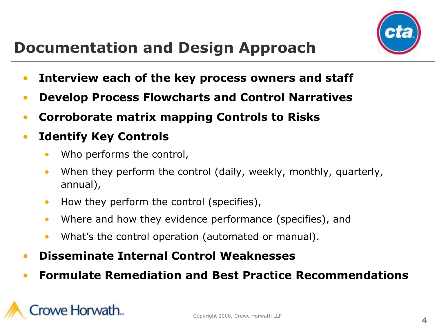

# **Documentation and Design Approach**

- **Interview each of the key process owners and staff**
- **Develop Process Flowcharts and Control Narratives**
- **Corroborate matrix mapping Controls to Risks**
- **Identify Key Controls**
	- Who performs the control,
	- When they perform the control (daily, weekly, monthly, quarterly, annual),
	- How they perform the control (specifies),
	- Where and how they evidence performance (specifies), and
	- What's the control operation (automated or manual).
- **Disseminate Internal Control Weaknesses**
- **Formulate Remediation and Best Practice Recommendations**

# owe Horwath...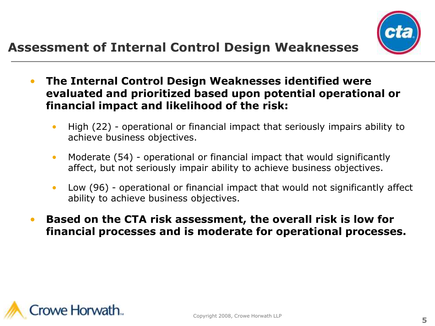

- **The Internal Control Design Weaknesses identified were evaluated and prioritized based upon potential operational or financial impact and likelihood of the risk:**
	- High (22) operational or financial impact that seriously impairs ability to achieve business objectives.
	- Moderate (54) operational or financial impact that would significantly affect, but not seriously impair ability to achieve business objectives.
	- Low (96) operational or financial impact that would not significantly affect ability to achieve business objectives.
	- **Based on the CTA risk assessment, the overall risk is low for financial processes and is moderate for operational processes.**

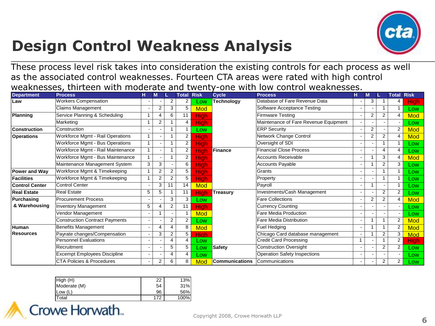

# **Design Control Weakness Analysis**

These process level risk takes into consideration the existing controls for each process as well as the associated control weaknesses. Fourteen CTA areas were rated with high control weaknesses, thirteen with moderate and twenty-one with low control weaknesses.

| <b>Department</b>     | <b>Process</b>                          | н              | M                      |                | <b>Total</b>   | <b>Risk</b> | <b>Cycle</b>          | <b>Process</b>                        | н | M              |                       | <b>Total Risk</b>       |             |
|-----------------------|-----------------------------------------|----------------|------------------------|----------------|----------------|-------------|-----------------------|---------------------------------------|---|----------------|-----------------------|-------------------------|-------------|
| Law                   | <b>Workers Compensation</b>             |                |                        | $\overline{2}$ | 2              | Low         | Technology            | Database of Fare Revenue Data         |   | 3              |                       | 4                       | <b>High</b> |
|                       | <b>Claims Management</b>                |                | $\overline{2}$         | 3              | 5              | <b>Mod</b>  |                       | Software Acceptance Testing           |   |                |                       | 1                       | Low         |
| Planning              | Service Planning & Scheduling           | 1              | 4                      | 6              | 11             | <b>High</b> |                       | Firmware Testing                      |   | $\overline{2}$ | $\overline{2}$        | 4                       | <b>Mod</b>  |
|                       | Marketing                               |                | $\overline{2}$         |                | 4              | <b>High</b> |                       | Maintenance of Fare Revenue Equipment |   |                |                       |                         | Low         |
| <b>Construction</b>   | Construction                            |                |                        |                |                | Low         |                       | <b>ERP Security</b>                   |   | $\overline{2}$ |                       | $\overline{2}$          | <b>Mod</b>  |
| <b>Operations</b>     | <b>Workforce Mgmt - Rail Operations</b> | $\overline{1}$ |                        |                | 2              | <b>High</b> |                       | Network Change Control                |   | 2              | $\overline{2}$        | 4                       | <b>Mod</b>  |
|                       | <b>Workforce Mgmt - Bus Operations</b>  | 1              |                        |                | $\overline{2}$ | <b>High</b> |                       | Oversight of SDI                      |   |                |                       | 1                       | Low         |
|                       | Workforce Mgmt - Rail Maintenance       | $\overline{1}$ |                        |                | $\overline{2}$ | <b>High</b> | Finance               | <b>Financial Close Process</b>        |   |                | $\boldsymbol{\Delta}$ | $\overline{4}$          | Low         |
|                       | Workforce Mgmt - Bus Maintenance        |                |                        |                | $\overline{2}$ | <b>High</b> |                       | <b>Accounts Receivable</b>            |   |                | 3                     | 4                       | <b>Mod</b>  |
|                       | Maintenance Management System           | 3              | 3                      |                | 6              | High        |                       | <b>Accounts Payable</b>               |   |                | $\overline{2}$        | 3                       | Low         |
| <b>Power and Wav</b>  | Workforce Mgmt & Timekeeping            |                | $\overline{2}$         | 2              | 5              | <b>High</b> |                       | Grants                                |   |                |                       | 1                       | Low         |
| <b>Facilities</b>     | Workforce Mgmt & Timekeeping            |                | $\overline{2}$         | 2              | 5              | <b>High</b> |                       | Property                              |   |                |                       | $\mathbf{1}$            | Low         |
| <b>Control Center</b> | <b>Control Center</b>                   |                | 3                      | 11             | 14             | <b>Mod</b>  |                       | Payroll                               |   |                |                       | 1                       | Low         |
| <b>Real Estate</b>    | <b>Real Estate</b>                      | 5              | 5                      |                | 11             | <b>High</b> | Treasury              | Investments/Cash Management           |   |                | $\overline{2}$        | $\overline{2}$          | Low         |
| Purchasing            | <b>Procurement Process</b>              |                |                        | 3              | 3              | Low         |                       | <b>Fare Collections</b>               |   | 2              | 2                     | 4                       | <b>Mod</b>  |
| & Warehousing         | <b>Inventory Management</b>             | 5              | $\boldsymbol{\Lambda}$ | 2              | 11             | <b>High</b> |                       | <b>Currency Counting</b>              |   |                |                       |                         | Low         |
|                       | Vendor Management                       |                |                        |                |                | Mod         |                       | Fare Media Production                 |   |                |                       |                         | Low         |
|                       | <b>Construction Contract Payments</b>   |                |                        | 2              | 2              | Low         |                       | Fare Media Distribution               |   |                |                       | 2                       | <b>Mod</b>  |
| Human                 | <b>Benefits Management</b>              |                | 4                      | 4              | 8              | <b>Mod</b>  |                       | <b>Fuel Hedging</b>                   |   |                |                       | $\overline{2}$          | <b>Mod</b>  |
| <b>Resources</b>      | Payrate changes/Compensation            |                | 3                      | 2              | 5              | High        |                       | Chicago Card database management      |   |                | $\overline{2}$        | 3                       | <b>Mod</b>  |
|                       | <b>Personnel Evaluations</b>            |                |                        | 4              | $\overline{4}$ | Low         |                       | <b>Credit Card Processing</b>         | 1 |                |                       | $\overline{\mathbf{c}}$ | <b>High</b> |
|                       | Recruitment                             |                |                        | 5              | 5              | Low         | Safety                | <b>Construction Oversight</b>         |   |                | 2                     | $\overline{2}$          | Low         |
|                       | <b>Excempt Employees Discipline</b>     |                |                        | $\overline{4}$ | $\overline{4}$ | Low         |                       | <b>Operation Safety Inspections</b>   |   |                |                       |                         | Low         |
|                       | <b>CTA Policies &amp; Procedures</b>    |                | $\overline{2}$         | 6              | 8              | Mod         | <b>Communications</b> | Communications                        |   |                | $\overline{2}$        | $\overline{2}$          | Low         |

| High(H)      | 22  | 13%  |
|--------------|-----|------|
| Moderate (M) | 54  | 31%  |
| Low $(L)$    | 96  | 56%  |
| Total        | 172 | 100% |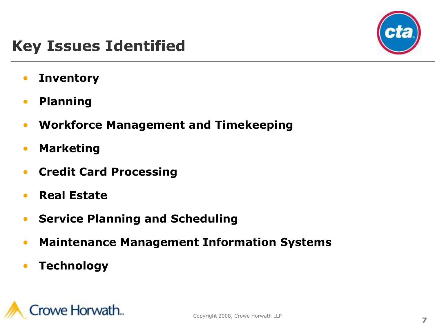

## **Key Issues Identified**

- **Inventory**
- **Planning**
- **Workforce Management and Timekeeping**
- **Marketing**
- **Credit Card Processing**
- **Real Estate**
- **Service Planning and Scheduling**
- **Maintenance Management Information Systems**
- **Technology**

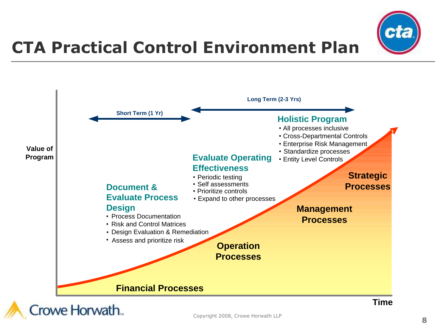

# **CTA Practical Control Environment Plan**

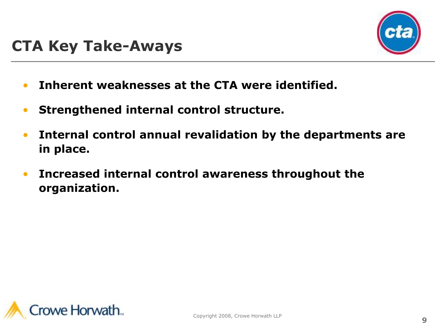

- **Inherent weaknesses at the CTA were identified.**
- **Strengthened internal control structure.**
- **Internal control annual revalidation by the departments are in place.**
- **Increased internal control awareness throughout the organization.**